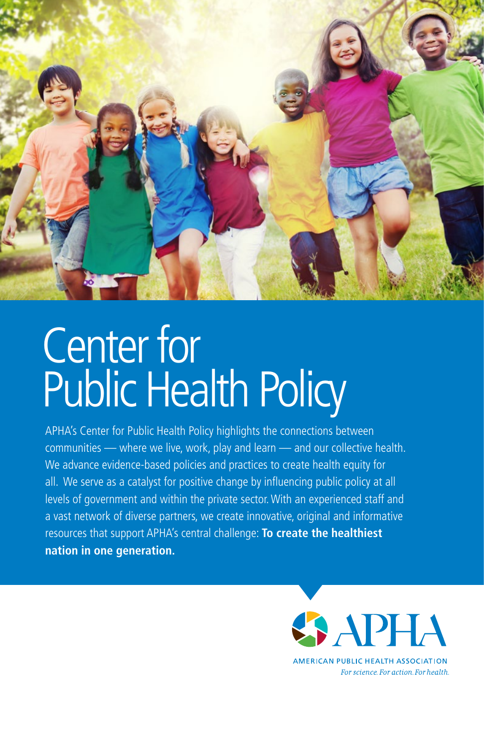

## Center for Public Health Policy

 all. We serve as a catalyst for positive change by infuencing public policy at all APHA's Center for Public Health Policy highlights the connections between communities — where we live, work, play and learn — and our collective health. We advance evidence-based policies and practices to create health equity for levels of government and within the private sector. With an experienced staff and a vast network of diverse partners, we create innovative, original and informative resources that support APHA's central challenge: **To create the healthiest nation in one generation.** 

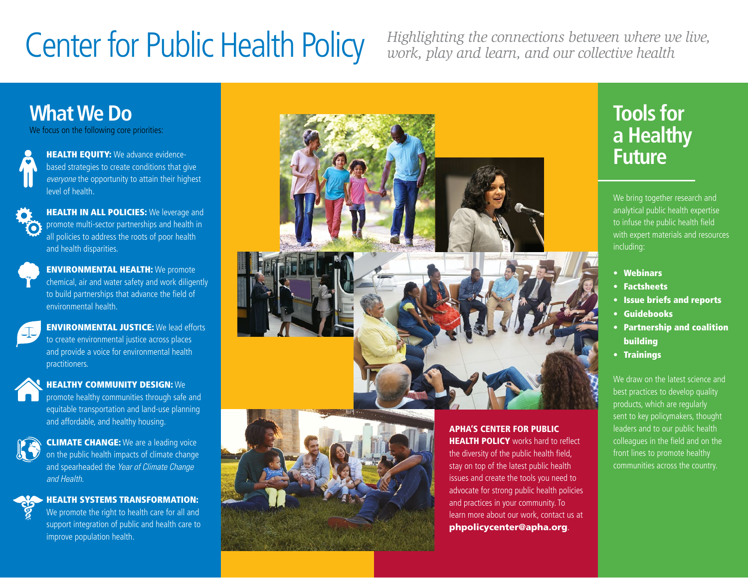# **Center for Public Health Policy**

*Highlighting the connections between where we live, work, play and learn, and our collective health* 

> learn more about our work, contact us at [phpolicycenter@apha.org](mailto:phpolicycenter@apha.org).

### **What We Do**

We focus on the following core priorities:



**HEALTH EQUITY:** We advance evidencebased strategies to create conditions that give *everyone* the opportunity to attain their highest level of health.

 and health disparities. **HEALTH IN ALL POLICIES:** We leverage and promote multi-sector partnerships and health in all policies to address the roots of poor health



**ENVIRONMENTAL HEALTH:** We promote chemical, air and water safety and work diligently to build partnerships that advance the field of environmental health.



**ENVIRONMENTAL JUSTICE:** We lead efforts to create environmental justice across places and provide a voice for environmental health practitioners.



#### HEALTHY COMMUNITY DESIGN: We

promote healthy communities through safe and equitable transportation and land-use planning and affordable, and healthy housing.



**CLIMATE CHANGE:** We are a leading voice on the public health impacts of climate change and spearheaded the *Year of Climate Change and Health*.



 $\cdot$  HEALTH SYSTEMS TRANSFORMATION: We promote the right to health care for all and support integration of public and health care to improve population health.



## **Tools for a Healthy Future**

We bring together research and analytical public health expertise to infuse the public health field with expert materials and resources including:

- • Webinars
- • Factsheets
- • Issue briefs and reports
- • Guidebooks
- • Partnership and coalition building
- • Trainings

We draw on the latest science and best practices to develop quality products, which are regularly sent to key policymakers, thought leaders and to our public health colleagues in the field and on the front lines to promote healthy communities across the country.